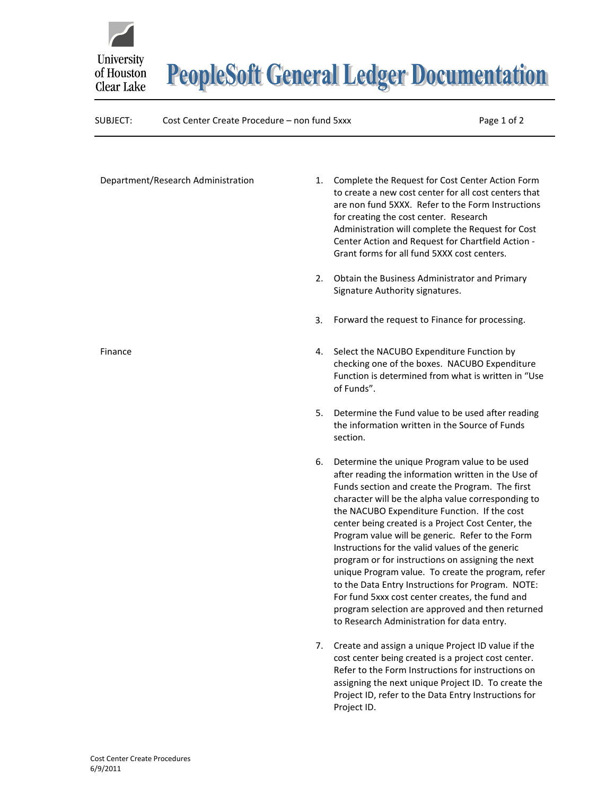



## SUBJECT: Cost Center Create Procedure – non fund 5xxx Page 1 of 2

| Department/Research Administration | 1. | Complete the Request for Cost Center Action Form<br>to create a new cost center for all cost centers that<br>are non fund 5XXX. Refer to the Form Instructions<br>for creating the cost center. Research<br>Administration will complete the Request for Cost<br>Center Action and Request for Chartfield Action -<br>Grant forms for all fund 5XXX cost centers.                                                                                                                                                                                                                                                                                                                                                                                |
|------------------------------------|----|--------------------------------------------------------------------------------------------------------------------------------------------------------------------------------------------------------------------------------------------------------------------------------------------------------------------------------------------------------------------------------------------------------------------------------------------------------------------------------------------------------------------------------------------------------------------------------------------------------------------------------------------------------------------------------------------------------------------------------------------------|
|                                    | 2. | Obtain the Business Administrator and Primary<br>Signature Authority signatures.                                                                                                                                                                                                                                                                                                                                                                                                                                                                                                                                                                                                                                                                 |
|                                    | 3. | Forward the request to Finance for processing.                                                                                                                                                                                                                                                                                                                                                                                                                                                                                                                                                                                                                                                                                                   |
| Finance                            | 4. | Select the NACUBO Expenditure Function by<br>checking one of the boxes. NACUBO Expenditure<br>Function is determined from what is written in "Use<br>of Funds".                                                                                                                                                                                                                                                                                                                                                                                                                                                                                                                                                                                  |
|                                    | 5. | Determine the Fund value to be used after reading<br>the information written in the Source of Funds<br>section.                                                                                                                                                                                                                                                                                                                                                                                                                                                                                                                                                                                                                                  |
|                                    | 6. | Determine the unique Program value to be used<br>after reading the information written in the Use of<br>Funds section and create the Program. The first<br>character will be the alpha value corresponding to<br>the NACUBO Expenditure Function. If the cost<br>center being created is a Project Cost Center, the<br>Program value will be generic. Refer to the Form<br>Instructions for the valid values of the generic<br>program or for instructions on assigning the next<br>unique Program value. To create the program, refer<br>to the Data Entry Instructions for Program. NOTE:<br>For fund 5xxx cost center creates, the fund and<br>program selection are approved and then returned<br>to Research Administration for data entry. |
|                                    | 7. | Create and assign a unique Project ID value if the<br>cost center being created is a project cost center.<br>Refer to the Form Instructions for instructions on<br>assigning the next unique Project ID. To create the<br>Project ID, refer to the Data Entry Instructions for<br>Project ID.                                                                                                                                                                                                                                                                                                                                                                                                                                                    |